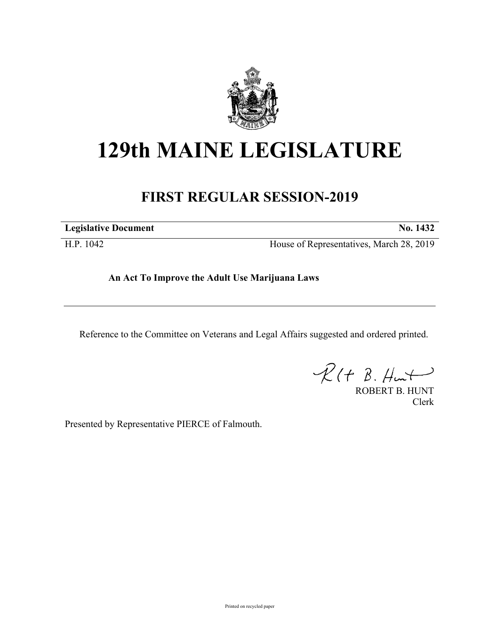

## **129th MAINE LEGISLATURE**

## **FIRST REGULAR SESSION-2019**

**Legislative Document No. 1432**

H.P. 1042 House of Representatives, March 28, 2019

**An Act To Improve the Adult Use Marijuana Laws**

Reference to the Committee on Veterans and Legal Affairs suggested and ordered printed.

 $R(H B. H<sub>un</sub>+)$ 

ROBERT B. HUNT Clerk

Presented by Representative PIERCE of Falmouth.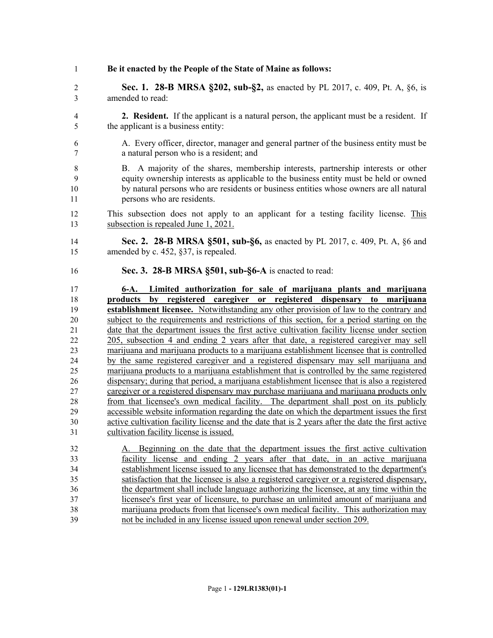**Be it enacted by the People of the State of Maine as follows:**

 **Sec. 1. 28-B MRSA §202, sub-§2,** as enacted by PL 2017, c. 409, Pt. A, §6, is amended to read:

- **2. Resident.** If the applicant is a natural person, the applicant must be a resident. If the applicant is a business entity:
- A. Every officer, director, manager and general partner of the business entity must be a natural person who is a resident; and
- B. A majority of the shares, membership interests, partnership interests or other equity ownership interests as applicable to the business entity must be held or owned by natural persons who are residents or business entities whose owners are all natural persons who are residents.
- This subsection does not apply to an applicant for a testing facility license. This subsection is repealed June 1, 2021.
- **Sec. 2. 28-B MRSA §501, sub-§6,** as enacted by PL 2017, c. 409, Pt. A, §6 and amended by c. 452, §37, is repealed.
- **Sec. 3. 28-B MRSA §501, sub-§6-A** is enacted to read:

 **6-A. Limited authorization for sale of marijuana plants and marijuana products by registered caregiver or registered dispensary to marijuana establishment licensee.** Notwithstanding any other provision of law to the contrary and subject to the requirements and restrictions of this section, for a period starting on the date that the department issues the first active cultivation facility license under section 205, subsection 4 and ending 2 years after that date, a registered caregiver may sell marijuana and marijuana products to a marijuana establishment licensee that is controlled by the same registered caregiver and a registered dispensary may sell marijuana and marijuana products to a marijuana establishment that is controlled by the same registered dispensary; during that period, a marijuana establishment licensee that is also a registered caregiver or a registered dispensary may purchase marijuana and marijuana products only from that licensee's own medical facility. The department shall post on its publicly accessible website information regarding the date on which the department issues the first active cultivation facility license and the date that is 2 years after the date the first active cultivation facility license is issued.

 A. Beginning on the date that the department issues the first active cultivation facility license and ending 2 years after that date, in an active marijuana establishment license issued to any licensee that has demonstrated to the department's satisfaction that the licensee is also a registered caregiver or a registered dispensary, the department shall include language authorizing the licensee, at any time within the licensee's first year of licensure, to purchase an unlimited amount of marijuana and marijuana products from that licensee's own medical facility. This authorization may not be included in any license issued upon renewal under section 209.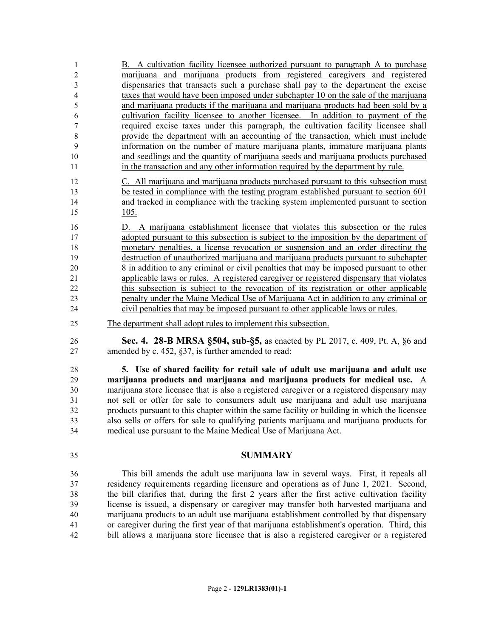| 1                | B. A cultivation facility licensee authorized pursuant to paragraph A to purchase                                                                                       |
|------------------|-------------------------------------------------------------------------------------------------------------------------------------------------------------------------|
| $\boldsymbol{2}$ | marijuana and marijuana products from registered caregivers and registered                                                                                              |
| 3                | dispensaries that transacts such a purchase shall pay to the department the excise                                                                                      |
| $\overline{4}$   | taxes that would have been imposed under subchapter 10 on the sale of the marijuana                                                                                     |
| 5                | and marijuana products if the marijuana and marijuana products had been sold by a                                                                                       |
| 6                | cultivation facility licensee to another licensee. In addition to payment of the                                                                                        |
| 7<br>$\,8\,$     | required excise taxes under this paragraph, the cultivation facility licensee shall<br>provide the department with an accounting of the transaction, which must include |
| 9                | information on the number of mature marijuana plants, immature marijuana plants                                                                                         |
| 10               | and seedlings and the quantity of marijuana seeds and marijuana products purchased                                                                                      |
| 11               | in the transaction and any other information required by the department by rule.                                                                                        |
| 12               | C. All marijuana and marijuana products purchased pursuant to this subsection must                                                                                      |
| 13               | be tested in compliance with the testing program established pursuant to section 601                                                                                    |
| 14               | and tracked in compliance with the tracking system implemented pursuant to section                                                                                      |
| 15               | 105.                                                                                                                                                                    |
| 16               | D. A marijuana establishment licensee that violates this subsection or the rules                                                                                        |
| 17               | adopted pursuant to this subsection is subject to the imposition by the department of                                                                                   |
| 18               | monetary penalties, a license revocation or suspension and an order directing the                                                                                       |
| 19               | destruction of unauthorized marijuana and marijuana products pursuant to subchapter                                                                                     |
| 20               | 8 in addition to any criminal or civil penalties that may be imposed pursuant to other                                                                                  |
| 21               | applicable laws or rules. A registered caregiver or registered dispensary that violates                                                                                 |
| 22               | this subsection is subject to the revocation of its registration or other applicable                                                                                    |
| 23<br>24         | penalty under the Maine Medical Use of Marijuana Act in addition to any criminal or<br>civil penalties that may be imposed pursuant to other applicable laws or rules.  |
| 25               | The department shall adopt rules to implement this subsection.                                                                                                          |
| 26               | <b>Sec. 4. 28-B MRSA §504, sub-§5, as enacted by PL 2017, c. 409, Pt. A, §6 and</b>                                                                                     |
| 27               | amended by c. 452, §37, is further amended to read:                                                                                                                     |
| 28               | 5. Use of shared facility for retail sale of adult use marijuana and adult use                                                                                          |
| 29               | marijuana products and marijuana and marijuana products for medical use. A                                                                                              |
| 30               | marijuana store licensee that is also a registered caregiver or a registered dispensary may                                                                             |
| 31               | not sell or offer for sale to consumers adult use marijuana and adult use marijuana                                                                                     |
| 32               | products pursuant to this chapter within the same facility or building in which the licensee                                                                            |
| 33               | also sells or offers for sale to qualifying patients marijuana and marijuana products for                                                                               |
| 34               | medical use pursuant to the Maine Medical Use of Marijuana Act.                                                                                                         |
| 35               | <b>SUMMARY</b>                                                                                                                                                          |
| 36               | This bill amends the adult use marijuana law in several ways. First, it repeals all                                                                                     |
| 37               | residency requirements regarding licensure and operations as of June 1, 2021. Second,                                                                                   |
| 38               | the bill clarifies that, during the first 2 years after the first active cultivation facility                                                                           |
| 39               | license is issued, a dispensary or caregiver may transfer both harvested marijuana and                                                                                  |
| 40               | marijuana products to an adult use marijuana establishment controlled by that dispensary                                                                                |
| 41               | or caregiver during the first year of that marijuana establishment's operation. Third, this                                                                             |

bill allows a marijuana store licensee that is also a registered caregiver or a registered